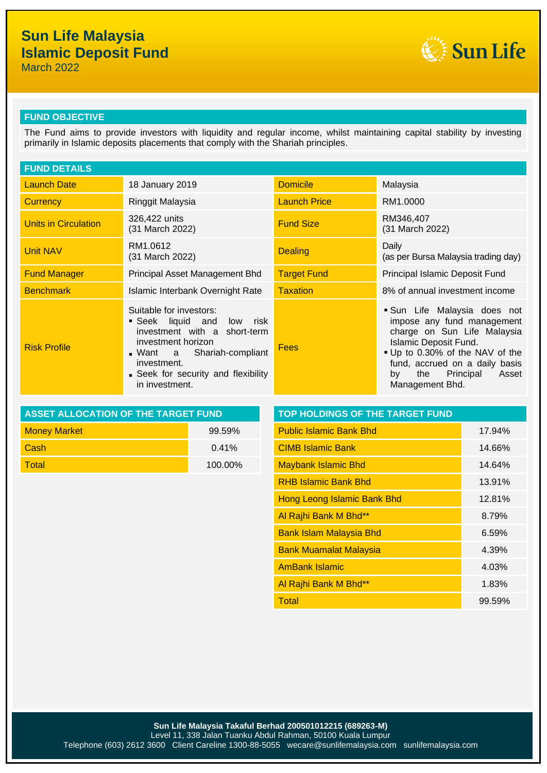# **Sun Life Malaysia Islamic Deposit Fund**

March 2022



## **FUND OBJECTIVE**

The Fund aims to provide investors with liquidity and regular income, whilst maintaining capital stability by investing primarily in Islamic deposits placements that comply with the Shariah principles.

| <b>FUND DETAILS</b>         |                                                                                                                                                                                                               |                     |                                                                                                                                                                                                                                                  |  |
|-----------------------------|---------------------------------------------------------------------------------------------------------------------------------------------------------------------------------------------------------------|---------------------|--------------------------------------------------------------------------------------------------------------------------------------------------------------------------------------------------------------------------------------------------|--|
| <b>Launch Date</b>          | 18 January 2019                                                                                                                                                                                               | <b>Domicile</b>     | Malaysia                                                                                                                                                                                                                                         |  |
| <b>Currency</b>             | Ringgit Malaysia                                                                                                                                                                                              | <b>Launch Price</b> | RM1.0000                                                                                                                                                                                                                                         |  |
| <b>Units in Circulation</b> | 326,422 units<br>(31 March 2022)                                                                                                                                                                              | <b>Fund Size</b>    | RM346,407<br>(31 March 2022)                                                                                                                                                                                                                     |  |
| <b>Unit NAV</b>             | RM1.0612<br>(31 March 2022)                                                                                                                                                                                   | <b>Dealing</b>      | Daily<br>(as per Bursa Malaysia trading day)                                                                                                                                                                                                     |  |
| <b>Fund Manager</b>         | Principal Asset Management Bhd                                                                                                                                                                                | <b>Target Fund</b>  | Principal Islamic Deposit Fund                                                                                                                                                                                                                   |  |
| <b>Benchmark</b>            | Islamic Interbank Overnight Rate                                                                                                                                                                              | <b>Taxation</b>     | 8% of annual investment income                                                                                                                                                                                                                   |  |
| <b>Risk Profile</b>         | Suitable for investors:<br>Seek liquid and low risk<br>investment with a short-term<br>investment horizon<br>Want a Shariah-compliant<br>investment.<br>• Seek for security and flexibility<br>in investment. | Fees                | Sun Life Malaysia does not<br>impose any fund management<br>charge on Sun Life Malaysia<br><b>Islamic Deposit Fund.</b><br>Up to 0.30% of the NAV of the<br>fund, accrued on a daily basis<br>Principal<br>the<br>Asset<br>by<br>Management Bhd. |  |

| ASSET ALLOCATION OF THE TARGET FUND | <b>TOP HOLDINGS OF THE TARGET FUND</b> |                                |  |
|-------------------------------------|----------------------------------------|--------------------------------|--|
| <b>Money Market</b>                 | 99.59%                                 | <b>Public Islamic Bank Bhd</b> |  |
| - Cash                              | $0.41\%$                               | <b>CIMB Islamic Bank</b>       |  |
| <b>Total</b>                        | $100.00\%$                             | Maybank Islamic Bhd            |  |

| <b>ASSET ALLOCATION OF THE TARGET FUND</b> |         | TOP HOLDINGS OF THE TARGET FUND |        |  |
|--------------------------------------------|---------|---------------------------------|--------|--|
| <b>Money Market</b>                        | 99.59%  | <b>Public Islamic Bank Bhd</b>  | 17.94% |  |
| Cash                                       | 0.41%   | <b>CIMB Islamic Bank</b>        | 14.66% |  |
| <b>Total</b>                               | 100.00% | <b>Maybank Islamic Bhd</b>      | 14.64% |  |
|                                            |         | <b>RHB Islamic Bank Bhd</b>     | 13.91% |  |
|                                            |         | Hong Leong Islamic Bank Bhd     | 12.81% |  |
|                                            |         | Al Rajhi Bank M Bhd**           | 8.79%  |  |
|                                            |         | <b>Bank Islam Malaysia Bhd</b>  | 6.59%  |  |
|                                            |         | <b>Bank Muamalat Malaysia</b>   | 4.39%  |  |
|                                            |         | <b>AmBank Islamic</b>           | 4.03%  |  |
|                                            |         | Al Rajhi Bank M Bhd**           | 1.83%  |  |
|                                            |         | <b>Total</b>                    | 99.59% |  |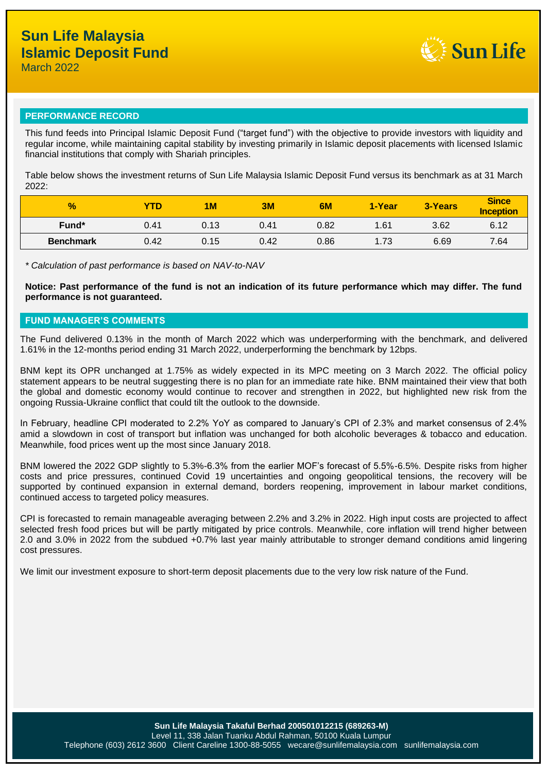

## **PERFORMANCE RECORD**

This fund feeds into Principal Islamic Deposit Fund ("target fund") with the objective to provide investors with liquidity and regular income, while maintaining capital stability by investing primarily in Islamic deposit placements with licensed Islamic financial institutions that comply with Shariah principles.

Table below shows the investment returns of Sun Life Malaysia Islamic Deposit Fund versus its benchmark as at 31 March 2022:

| $\frac{1}{2}$    | YTD  | 1M   | 3M   | 6M   | 1-Year | 3-Years | <b>Since</b><br><b>Inception</b> |
|------------------|------|------|------|------|--------|---------|----------------------------------|
| Fund*            | 0.41 | 0.13 | 0.41 | 0.82 | 1.61   | 3.62    | 6.12                             |
| <b>Benchmark</b> | 0.42 | 0.15 | 0.42 | 0.86 | 1.73   | 6.69    | 7.64                             |

*\* Calculation of past performance is based on NAV-to-NAV*

**Notice: Past performance of the fund is not an indication of its future performance which may differ. The fund performance is not guaranteed.**

#### **FUND MANAGER'S COMMENTS**

The Fund delivered 0.13% in the month of March 2022 which was underperforming with the benchmark, and delivered 1.61% in the 12-months period ending 31 March 2022, underperforming the benchmark by 12bps.

BNM kept its OPR unchanged at 1.75% as widely expected in its MPC meeting on 3 March 2022. The official policy statement appears to be neutral suggesting there is no plan for an immediate rate hike. BNM maintained their view that both the global and domestic economy would continue to recover and strengthen in 2022, but highlighted new risk from the ongoing Russia-Ukraine conflict that could tilt the outlook to the downside.

In February, headline CPI moderated to 2.2% YoY as compared to January's CPI of 2.3% and market consensus of 2.4% amid a slowdown in cost of transport but inflation was unchanged for both alcoholic beverages & tobacco and education. Meanwhile, food prices went up the most since January 2018.

BNM lowered the 2022 GDP slightly to 5.3%-6.3% from the earlier MOF's forecast of 5.5%-6.5%. Despite risks from higher costs and price pressures, continued Covid 19 uncertainties and ongoing geopolitical tensions, the recovery will be supported by continued expansion in external demand, borders reopening, improvement in labour market conditions, continued access to targeted policy measures.

CPI is forecasted to remain manageable averaging between 2.2% and 3.2% in 2022. High input costs are projected to affect selected fresh food prices but will be partly mitigated by price controls. Meanwhile, core inflation will trend higher between 2.0 and 3.0% in 2022 from the subdued +0.7% last year mainly attributable to stronger demand conditions amid lingering cost pressures.

We limit our investment exposure to short-term deposit placements due to the very low risk nature of the Fund.